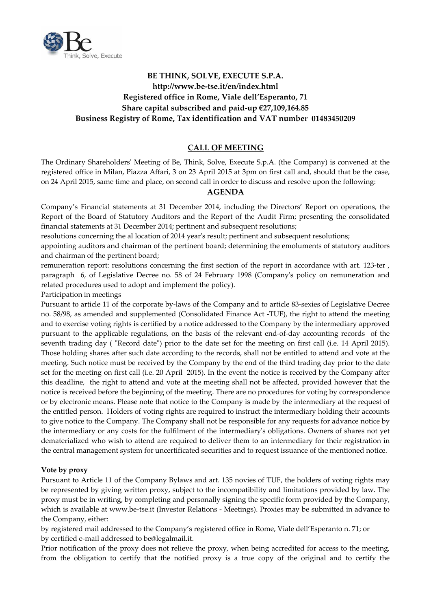

# **BE THINK, SOLVE, EXECUTE S.P.A. http://www.be‐tse.it/en/index.html Registered office in Rome, Viale dell'Esperanto, 71 Share capital subscribed and paid‐up €27,109,164.85 Business Registry of Rome, Tax identification and VAT number 01483450209**

## **CALL OF MEETING**

The Ordinary Shareholdersʹ Meeting of Be, Think, Solve, Execute S.p.A. (the Company) is convened at the registered office in Milan, Piazza Affari, 3 on 23 April 2015 at 3pm on first call and, should that be the case, on 24 April 2015, same time and place, on second call in order to discuss and resolve upon the following:

## **AGENDA**

Company's Financial statements at 31 December 2014, including the Directors' Report on operations, the Report of the Board of Statutory Auditors and the Report of the Audit Firm; presenting the consolidated financial statements at 31 December 2014; pertinent and subsequent resolutions;

resolutions concerning the al location of 2014 year's result; pertinent and subsequent resolutions;

appointing auditors and chairman of the pertinent board; determining the emoluments of statutory auditors and chairman of the pertinent board;

remuneration report: resolutions concerning the first section of the report in accordance with art. 123-ter, paragraph 6, of Legislative Decree no. 58 of 24 February 1998 (Companyʹs policy on remuneration and related procedures used to adopt and implement the policy).

Participation in meetings

Pursuant to article 11 of the corporate by‐laws of the Company and to article 83‐sexies of Legislative Decree no. 58/98, as amended and supplemented (Consolidated Finance Act ‐TUF), the right to attend the meeting and to exercise voting rights is certified by a notice addressed to the Company by the intermediary approved pursuant to the applicable regulations, on the basis of the relevant end-of-day accounting records of the seventh trading day ( "Record date") prior to the date set for the meeting on first call (i.e. 14 April 2015). Those holding shares after such date according to the records, shall not be entitled to attend and vote at the meeting. Such notice must be received by the Company by the end of the third trading day prior to the date set for the meeting on first call (i.e. 20 April 2015). In the event the notice is received by the Company after this deadline, the right to attend and vote at the meeting shall not be affected, provided however that the notice is received before the beginning of the meeting. There are no procedures for voting by correspondence or by electronic means. Please note that notice to the Company is made by the intermediary at the request of the entitled person. Holders of voting rights are required to instruct the intermediary holding their accounts to give notice to the Company. The Company shall not be responsible for any requests for advance notice by the intermediary or any costs for the fulfilment of the intermediaryʹs obligations. Owners of shares not yet dematerialized who wish to attend are required to deliver them to an intermediary for their registration in the central management system for uncertificated securities and to request issuance of the mentioned notice.

#### **Vote by proxy**

Pursuant to Article 11 of the Company Bylaws and art. 135 novies of TUF, the holders of voting rights may be represented by giving written proxy, subject to the incompatibility and limitations provided by law. The proxy must be in writing, by completing and personally signing the specific form provided by the Company, which is available at www.be-tse.it (Investor Relations - Meetings). Proxies may be submitted in advance to the Company, either:

by registered mail addressed to the Company's registered office in Rome, Viale dell'Esperanto n. 71; or by certified e‐mail addressed to be@legalmail.it.

Prior notification of the proxy does not relieve the proxy, when being accredited for access to the meeting, from the obligation to certify that the notified proxy is a true copy of the original and to certify the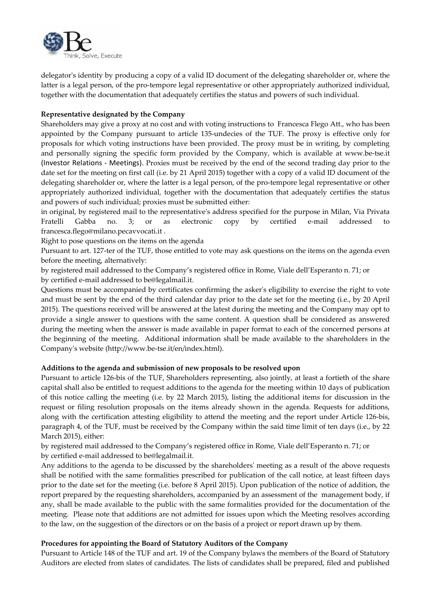

delegator's identity by producing a copy of a valid ID document of the delegating shareholder or, where the latter is a legal person, of the pro-tempore legal representative or other appropriately authorized individual, together with the documentation that adequately certifies the status and powers of such individual.

#### **Representative designated by the Company**

Shareholders may give a proxy at no cost and with voting instructions to Francesca Flego Att., who has been appointed by the Company pursuant to article 135-undecies of the TUF. The proxy is effective only for proposals for which voting instructions have been provided. The proxy must be in writing, by completing and personally signing the specific form provided by the Company, which is available at www.be‐tse.it (Investor Relations ‐ Meetings). Proxies must be received by the end of the second trading day prior to the date set for the meeting on first call (i.e. by 21 April 2015) together with a copy of a valid ID document of the delegating shareholder or, where the latter is a legal person, of the pro‐tempore legal representative or other appropriately authorized individual, together with the documentation that adequately certifies the status and powers of such individual; proxies must be submitted either:

in original, by registered mail to the representativeʹs address specified for the purpose in Milan, Via Privata Fratelli Gabba no. 3; or as electronic copy by certified e‐mail addressed to francesca.flego@milano.pecavvocati.it .

Right to pose questions on the items on the agenda

Pursuant to art. 127‐ter of the TUF, those entitled to vote may ask questions on the items on the agenda even before the meeting, alternatively:

by registered mail addressed to the Company's registered office in Rome, Viale dell'Esperanto n. 71; or by certified e‐mail addressed to be@legalmail.it.

Questions must be accompanied by certificates confirming the askerʹs eligibility to exercise the right to vote and must be sent by the end of the third calendar day prior to the date set for the meeting (i.e., by 20 April 2015). The questions received will be answered at the latest during the meeting and the Company may opt to provide a single answer to questions with the same content. A question shall be considered as answered during the meeting when the answer is made available in paper format to each of the concerned persons at the beginning of the meeting. Additional information shall be made available to the shareholders in the Companyʹs website (http://www.be‐tse.it/en/index.html).

#### **Additions to the agenda and submission of new proposals to be resolved upon**

Pursuant to article 126‐bis of the TUF, Shareholders representing, also jointly, at least a fortieth of the share capital shall also be entitled to request additions to the agenda for the meeting within 10 days of publication of this notice calling the meeting (i.e. by 22 March 2015), listing the additional items for discussion in the request or filing resolution proposals on the items already shown in the agenda. Requests for additions, along with the certification attesting eligibility to attend the meeting and the report under Article 126‐bis, paragraph 4, of the TUF, must be received by the Company within the said time limit of ten days (i.e., by 22 March 2015), either:

by registered mail addressed to the Company's registered office in Rome, Viale dell'Esperanto n. 71; or by certified e‐mail addressed to be@legalmail.it.

Any additions to the agenda to be discussed by the shareholdersʹ meeting as a result of the above requests shall be notified with the same formalities prescribed for publication of the call notice, at least fifteen days prior to the date set for the meeting (i.e. before 8 April 2015). Upon publication of the notice of addition, the report prepared by the requesting shareholders, accompanied by an assessment of the management body, if any, shall be made available to the public with the same formalities provided for the documentation of the meeting. Please note that additions are not admitted for issues upon which the Meeting resolves according to the law, on the suggestion of the directors or on the basis of a project or report drawn up by them.

## **Procedures for appointing the Board of Statutory Auditors of the Company**

Pursuant to Article 148 of the TUF and art. 19 of the Company bylaws the members of the Board of Statutory Auditors are elected from slates of candidates. The lists of candidates shall be prepared, filed and published